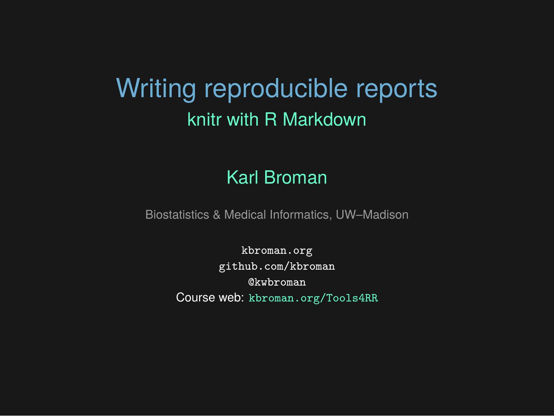### Writing reproducible reports knitr with R Markdown

#### Karl Broman

Biostatistics & Medical Informatics, UW–Madison

kbroman.org github.com/kbroman @kwbroman Course web: kbroman.org/Tools4RR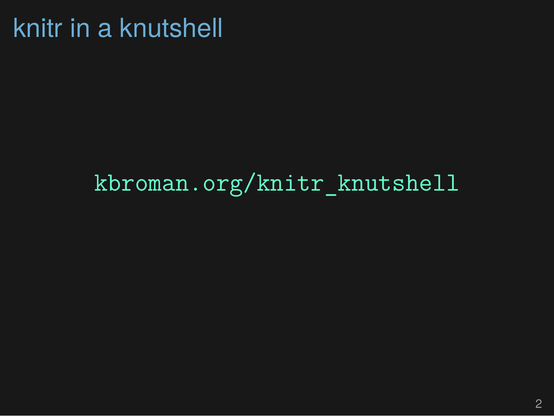# knitr in a knutshell

kbroman.org/knitr\_knutshell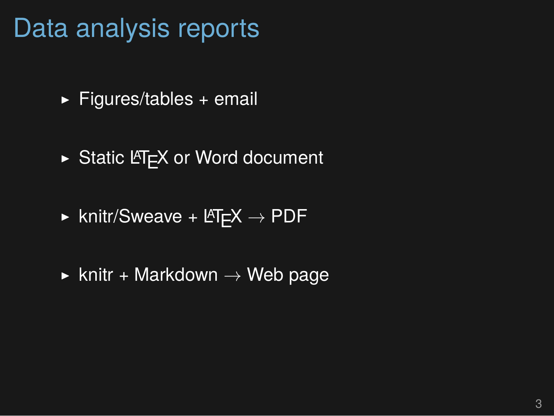### Data analysis reports

- $\blacktriangleright$  Figures/tables + email
- $\triangleright$  Static LAT<sub>E</sub>X or Word document
- ▶ knitr/Sweave + LATEX *→* PDF
- ▶ knitr + Markdown *→* Web page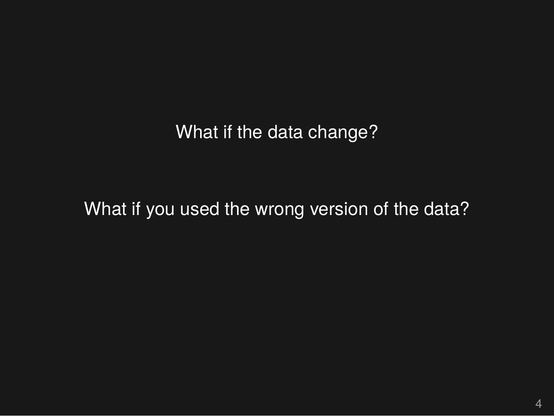What if the data change?

What if you used the wrong version of the data?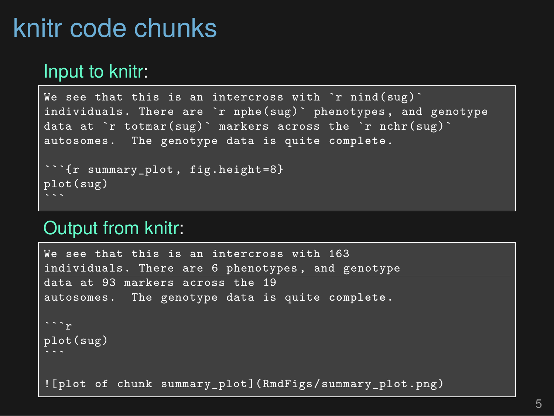## knitr code chunks

#### Input to knitr:

```
We see that this is an intercross with 'r nind(sug)'
individuals. There are `r nphe(sug)` phenotypes , and genotype
data at `r totmar(sug)` markers across the `r nchr(sug)`
autosomes. The genotype data is quite complete.
```{r summary_plot , fig.height=8}
plot(sug)
```
#### Output from knitr:

We see that this is an intercross with 163 individuals. There are 6 phenotypes , and genotype data at 93 markers across the 19 autosomes. The genotype data is quite **complete**. plot(sug) ![plot of chunk summary\_plot](RmdFigs/summary\_plot.png)

5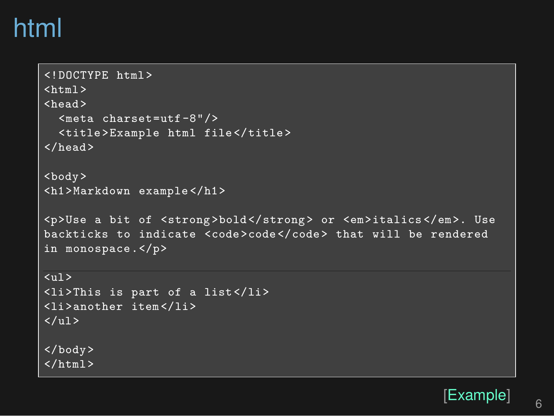### html

```
<!DOCTYPE html>
\n  <html>\n< head ><meta charset=utf-8"/>
   <title>Example html file</title>
\langle/head>
<body>
<h1>Markdown example </h1>
<p>Use a bit of <strong>bold</strong> or <em>italics </em>. Use
backticks to indicate <code>code</code> that will be rendered
in monospace.</p>
\langleul>
<li>This is part of a list</li>
<li>another item</li>
\langle \text{u1} \rangle</body>
\langle/html>
```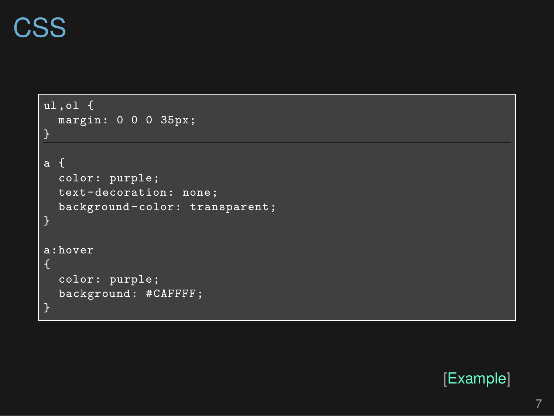# **CSS**

| $ul, ol$ {<br>margin: 0 0 0 35px;<br>}                                                 |  |
|----------------------------------------------------------------------------------------|--|
| a f<br>color: purple;<br>text-decoration: none;<br>background-color: transparent;<br>} |  |
| a:hover<br>ſ<br>color: purple;<br>background: #CAFFFF;<br>}                            |  |

[Example]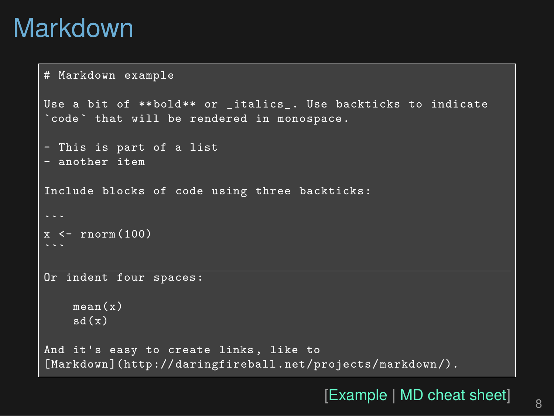## Markdown

```
# Markdown example
Use a bit of **bold** or _italics_. Use backticks to indicate
`code` that will be rendered in monospace.
- This is part of a list
- another item
Include blocks of code using three backticks:
x <- rnorm(100)
Or indent four spaces:
    mean(x)
    sd(x)
And it's easy to create links, like to
[Markdown](http://daringfireball.net/projects/markdown/).
```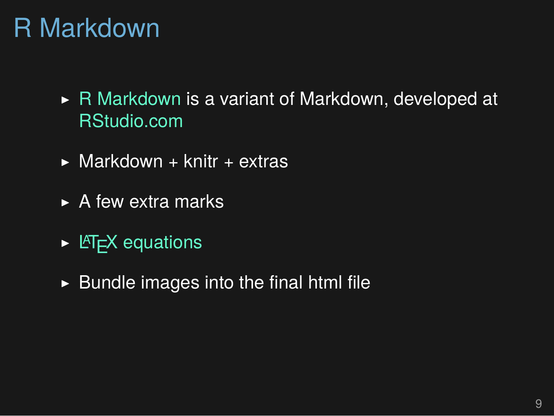## R Markdown

- ▶ R Markdown is a variant of Markdown, developed at RStudio.com
- $\triangleright$  Markdown + knitr + extras
- $\triangleright$  A few extra marks
- $\triangleright$  L<sup>AT</sup>EX equations
- $\blacktriangleright$  Bundle images into the final html file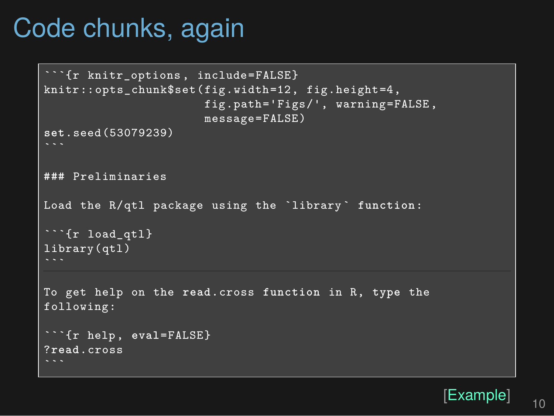## Code chunks, again

```
```{r knitr_options , include=FALSE}
knitr::opts_chunk$set(fig.width=12, fig.height=4,
                       fig.path='Figs/', warning=FALSE,
                      message=FALSE)
set.seed(53079239)
### Preliminaries
Load the R/qtl package using the `library ` function:
```{r load_qtl}
library(qtl)
To get help on the read.cross function in R, type the
following:
```{r help, eval=FALSE}
?read.cross
```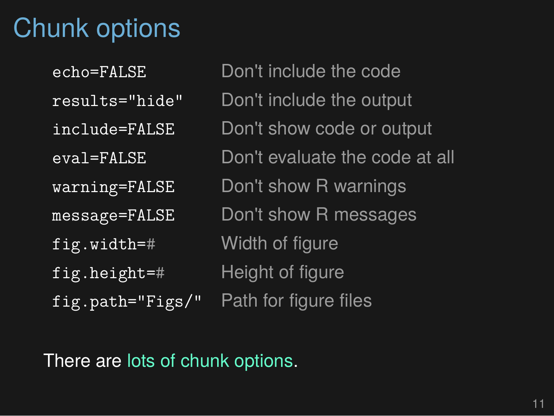## Chunk options

| echo=FALSE      |
|-----------------|
| results="hide"  |
| include=FALSE   |
| eval=FALSE      |
| warning=FALSE   |
| message=FALSE   |
| fig.width=#     |
| fig.height=#    |
| fig.path="Figs/ |

Don't include the code Don't include the output Don't show code or output Don't evaluate the code at all Don't show R warnings Don't show R messages Width of figure Height of figure " Path for figure files

There are lots of chunk options.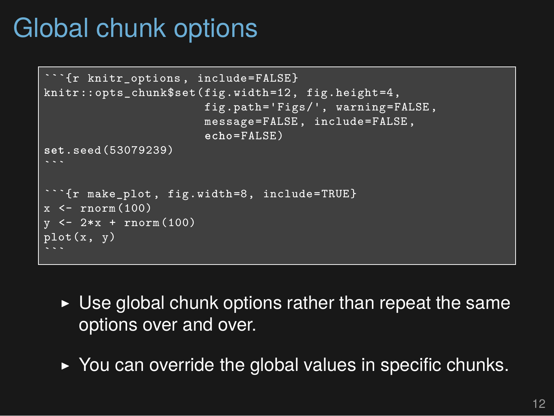### Global chunk options

```
\text{`fr} knitr options, include=FALSE}
knitr::opts_chunk$set(fig.width=12, fig.height=4,
                         fig.path='Figs/', warning=FALSE,
                         message=FALSE, include=FALSE,
                         echo=FALSE)
set.seed(53079239)
```
  \text{'}fr make plot, fig.width=8, include=TRUE}
x \le - rnorm (100)
y \leftarrow 2*x + \text{norm}(100)plot(x, y)
```
- $\triangleright$  Use global chunk options rather than repeat the same options over and over.
- ▶ You can override the global values in specific chunks.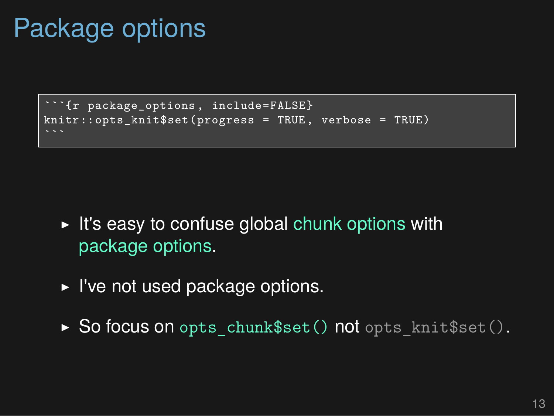## Package options

```
```{r package_options , include=FALSE}
knitr::opts_knit$set(progress = TRUE, verbose = TRUE)
```
- ▶ It's easy to confuse global chunk options with package options.
- ▶ I've not used package options.
- ▶ So focus on opts\_chunk\$set() not opts\_knit\$set().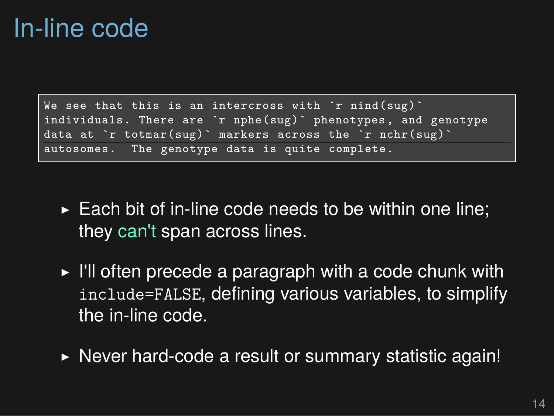#### In-line code

```
We see that this is an intercross with \infty nind(sug)\inftyindividuals. There are `r nphe(sug)` phenotypes , and genotype
data at `r totmar(sug)` markers across the `r nchr(sug)`
autosomes. The genotype data is quite complete.
```
- $\triangleright$  Each bit of in-line code needs to be within one line; they can't span across lines.
- ▶ I'll often precede a paragraph with a code chunk with include=FALSE, defining various variables, to simplify the in-line code.
- ▶ Never hard-code a result or summary statistic again!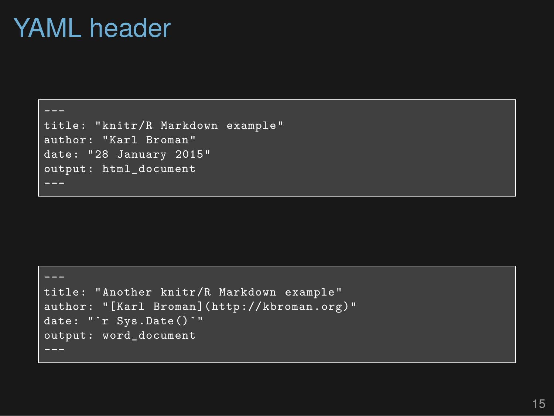#### YAML header

---

title: "knitr/R Markdown example" author: "Karl Broman" date: "28 January 2015" output: html\_document

```
title: "Another knitr/R Markdown example"
author: "[Karl Broman](http://kbroman.org)"
date: "'r Sys.Date()'"
output: word_document
```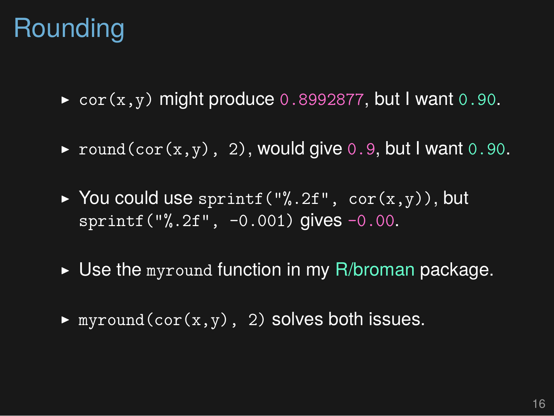## Rounding

- ▶ cor(x,y) might produce 0.8992877, but I want 0.90.
- $\triangleright$  round(cor(x,y), 2), would give 0.9, but I want 0.90.
- ▶ You could use sprintf("%.2f",  $cor(x,y)$ ), but sprintf("%.2f", -0.001) gives -0.00.
- $\blacktriangleright$  Use the myround function in my R/broman package.
- $\blacktriangleright$  myround(cor(x,y), 2) solves both issues.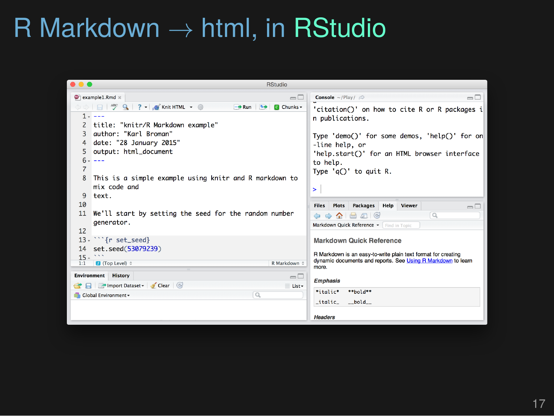# R Markdown *→* html, in RStudio

| $\bullet\bullet\bullet$<br><b>RStudio</b>                                                                                                                                                                                                 |                                                                                                                                                                                                                            |
|-------------------------------------------------------------------------------------------------------------------------------------------------------------------------------------------------------------------------------------------|----------------------------------------------------------------------------------------------------------------------------------------------------------------------------------------------------------------------------|
| $\bullet$ example1.Rmd $\times$<br>$\Box$                                                                                                                                                                                                 | $\Box$ $\Box$<br>Console ~/Play/ $\oslash$                                                                                                                                                                                 |
| $\rightarrow$ Run $\rightarrow$<br><b>G</b> Chunks -<br>$1 - - -$<br>title: "knitr/R Markdown example"<br>author: "Karl Broman"<br>3<br>date: "28 January 2015"<br>4<br>output: html_document<br>5.<br>$6 -$<br>$- - -$<br>$\overline{7}$ | 'citation()' on how to cite R or R packages i<br>n publications.<br>Type 'demo()' for some demos, 'help()' for on<br>-line help, or<br>'help.start()' for an HTML browser interface<br>to help.<br>Type $'q()'$ to quit R. |
| This is a simple example using knitr and R markdown to<br>8<br>mix code and<br>9<br>text.<br>10<br>We'll start by setting the seed for the random number<br>11<br>generator.<br>12                                                        | $\mathbf{r}$<br>Packages<br>Help<br>Viewer<br><b>Files</b><br><b>Plots</b><br>$\Box$<br>$\alpha$<br>$\Box$ $\Box$ $\odot$<br>⋒<br>۵<br>Markdown Quick Reference v Find in Topic                                            |
| $13 \cdot$ " {r set_seed}<br>14 set.seed(53079239)<br>$15 -$<br>R Markdown $\Leftrightarrow$<br><b>D</b> (Top Level) :<br>1:1                                                                                                             | <b>Markdown Quick Reference</b><br>R Markdown is an easy-to-write plain text format for creating<br>dynamic documents and reports. See Using R Markdown to learn<br>more.                                                  |
| <b>Environment</b> History<br>$-\square$<br>File + Import Dataset > Clear<br>≡ List-<br>$\alpha$<br><b>Global Environment -</b>                                                                                                           | <b>Emphasis</b><br>*italic*<br>**hold**                                                                                                                                                                                    |
|                                                                                                                                                                                                                                           | _italic_<br>$_{\text{p}}$ bold $_{\text{p}}$<br><b>Headers</b>                                                                                                                                                             |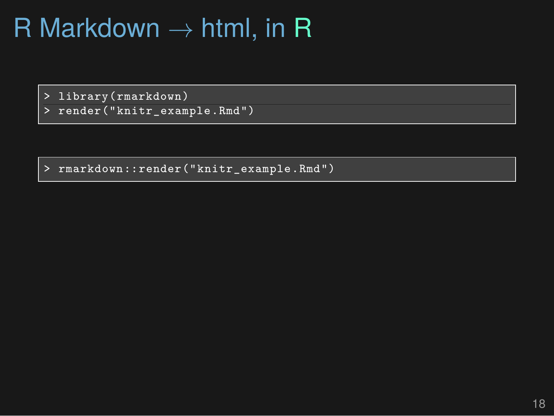# R Markdown *→* html, in R

> library(rmarkdown)

> render("knitr\_example.Rmd")

> rmarkdown::render("knitr\_example.Rmd")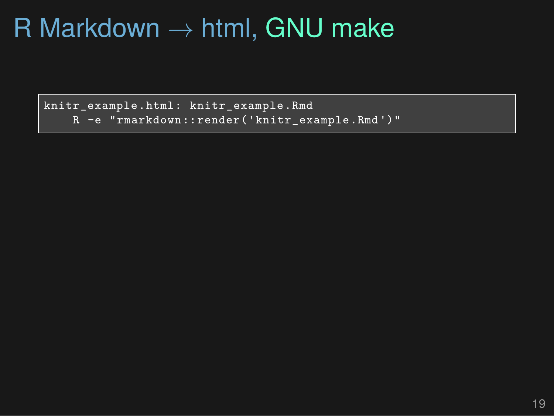# R Markdown *→* html, GNU make

knitr\_example.html: knitr\_example.Rmd R -e "rmarkdown::render('knitr\_example.Rmd')"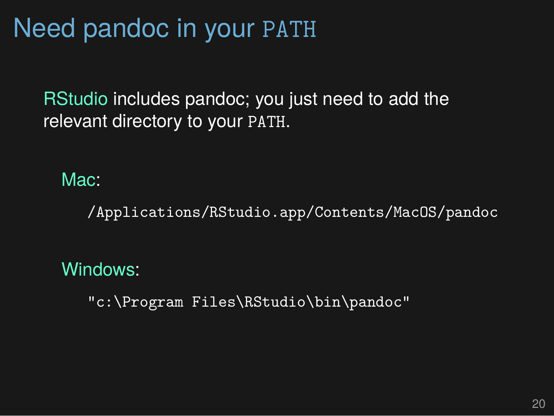# Need pandoc in your PATH

RStudio includes pandoc; you just need to add the relevant directory to your PATH.

#### Mac:

/Applications/RStudio.app/Contents/MacOS/pandoc

#### Windows:

"c:\Program Files\RStudio\bin\pandoc"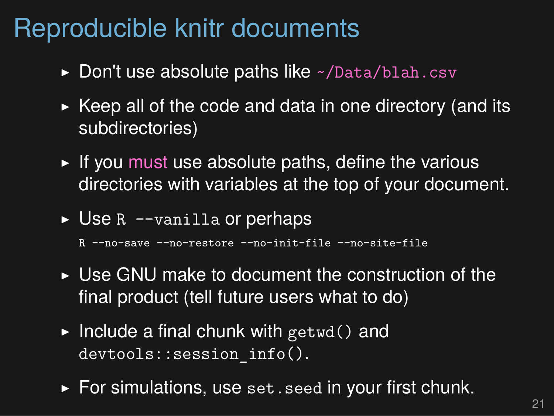### Reproducible knitr documents

- $\triangleright$  Don't use absolute paths like  $\sim$ /Data/blah.csv
- $\triangleright$  Keep all of the code and data in one directory (and its subdirectories)
- $\triangleright$  If you must use absolute paths, define the various directories with variables at the top of your document.
- ▶ Use R --vanilla or perhaps

R --no-save --no-restore --no-init-file --no-site-file

- ▶ Use GNU make to document the construction of the final product (tell future users what to do)
- $\blacktriangleright$  Include a final chunk with getwd() and devtools::session\_info().
- ▶ For simulations, use set.seed in your first chunk.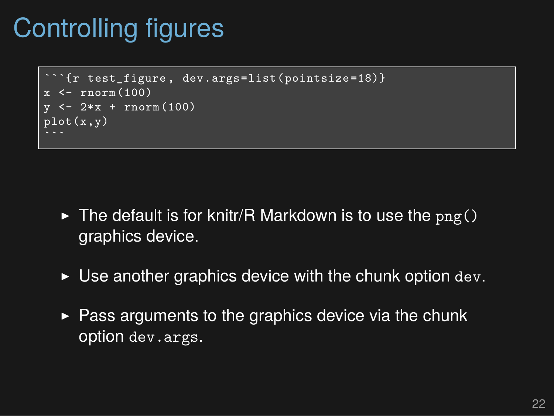### Controlling figures

```
\text{`fr test figure, dev.args=list(pointsize=18)}\leftarrow rnorm(100)\le - 2*x + rnorm (100)
\overline{\text{plot}(x,y)}
```
- $\triangleright$  The default is for knitr/R Markdown is to use the  $\text{png}()$ graphics device.
- $\triangleright$  Use another graphics device with the chunk option dev.
- $\triangleright$  Pass arguments to the graphics device via the chunk option dev.args.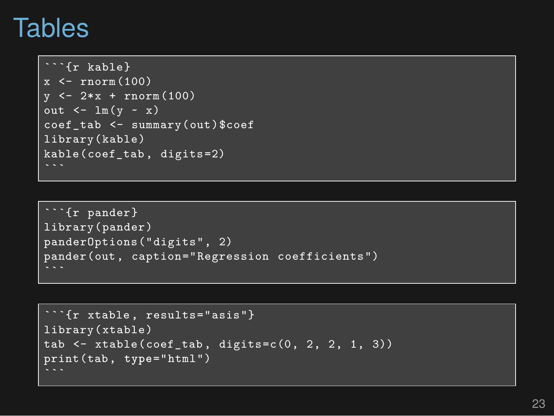#### Tables

```
```{r kable}
x \le - rnorm (100)
y \le -2*x + \text{norm}(100)out \leftarrow \ln(y - x)coef_tab <- summary(out)$coef
library(kable)
kable(coef tab, digits=2)
```
```

```
```{r pander}
library(pander)
panderOptions("digits", 2)
pander(out, caption="Regression coefficients")
```

```
{r xtable, results="asis"}
library(xtable)
tab \leftarrow xtable(coef_tab, digits=c(0, 2, 2, 1, 3))
print(tab, type="html")
```